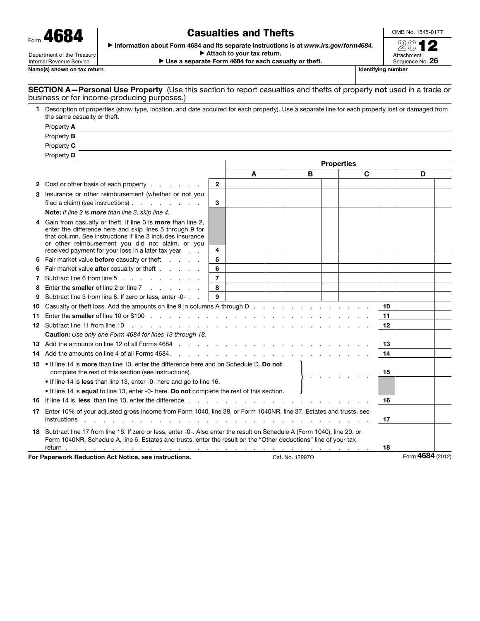| 4684<br>Form               |
|----------------------------|
| Department of the Treasury |

Internal Revenue Service

Name(s) shown on tax return

## Casualties and Thefts

OMB No. 1545-0177

▶ Information about Form 4684 and its separate instructions is at *www.irs.gov/form4684.*

▶ Attach to your tax return. ▶ Use a separate Form 4684 for each casualty or theft.

2012 Attachment Sequence No. 26

SECTION A–Personal Use Property (Use this section to report casualties and thefts of property not used in a trade or business or for income-producing purposes.)

|                   | 1 Description of properties (show type, location, and date acquired for each property). Use a separate line for each property lost or damaged from<br>the same casualty or theft.                                              |                |                   |  |   |  |    |    |   |  |
|-------------------|--------------------------------------------------------------------------------------------------------------------------------------------------------------------------------------------------------------------------------|----------------|-------------------|--|---|--|----|----|---|--|
|                   | Property A                                                                                                                                                                                                                     |                |                   |  |   |  |    |    |   |  |
|                   | Property <b>B</b>                                                                                                                                                                                                              |                |                   |  |   |  |    |    |   |  |
|                   | Property C                                                                                                                                                                                                                     |                |                   |  |   |  |    |    |   |  |
|                   | Property D                                                                                                                                                                                                                     |                |                   |  |   |  |    |    |   |  |
|                   |                                                                                                                                                                                                                                |                | <b>Properties</b> |  |   |  |    |    |   |  |
|                   |                                                                                                                                                                                                                                |                | A                 |  | B |  | C  |    | D |  |
|                   | 2 Cost or other basis of each property                                                                                                                                                                                         | $\mathbf{2}$   |                   |  |   |  |    |    |   |  |
|                   | 3 Insurance or other reimbursement (whether or not you                                                                                                                                                                         |                |                   |  |   |  |    |    |   |  |
|                   | filed a claim) (see instructions) $\ldots$ $\ldots$ $\ldots$                                                                                                                                                                   | 3              |                   |  |   |  |    |    |   |  |
|                   | Note: If line 2 is more than line 3, skip line 4.                                                                                                                                                                              |                |                   |  |   |  |    |    |   |  |
|                   | Gain from casualty or theft. If line 3 is more than line 2,<br>enter the difference here and skip lines 5 through 9 for                                                                                                        |                |                   |  |   |  |    |    |   |  |
|                   | that column. See instructions if line 3 includes insurance                                                                                                                                                                     |                |                   |  |   |  |    |    |   |  |
|                   | or other reimbursement you did not claim, or you                                                                                                                                                                               |                |                   |  |   |  |    |    |   |  |
|                   | received payment for your loss in a later tax year<br>5 Fair market value before casualty or theft                                                                                                                             | 4<br>5         |                   |  |   |  |    |    |   |  |
|                   | Fair market value <b>after</b> casualty or theft                                                                                                                                                                               | 6              |                   |  |   |  |    |    |   |  |
| 6<br>$\mathbf{7}$ | Subtract line 6 from line 5                                                                                                                                                                                                    | $\overline{7}$ |                   |  |   |  |    |    |   |  |
| 8                 | Enter the smaller of line 2 or line 7                                                                                                                                                                                          | 8              |                   |  |   |  |    |    |   |  |
| 9                 | Subtract line 3 from line 8. If zero or less, enter -0-                                                                                                                                                                        | 9              |                   |  |   |  |    |    |   |  |
| 10                |                                                                                                                                                                                                                                |                |                   |  |   |  |    | 10 |   |  |
|                   | 11 Enter the smaller of line 10 or \$100 $\ldots$ , $\ldots$ , $\ldots$ , $\ldots$ , $\ldots$ , $\ldots$ , $\ldots$ , $\ldots$ , $\ldots$                                                                                      |                |                   |  |   |  |    | 11 |   |  |
|                   |                                                                                                                                                                                                                                |                |                   |  |   |  | 12 |    |   |  |
|                   | Caution: Use only one Form 4684 for lines 13 through 18.                                                                                                                                                                       |                |                   |  |   |  |    |    |   |  |
|                   | 13 Add the amounts on line 12 of all Forms 4684 (edge) and contact the contact of the contact of the contact of the contact of the contact of the contact of the contact of the contact of the contact of the contact of the c |                |                   |  |   |  |    | 13 |   |  |
|                   | <b>14</b> Add the amounts on line 4 of all Forms 4684.                                                                                                                                                                         |                |                   |  |   |  |    | 14 |   |  |
|                   | 15 • If line 14 is more than line 13, enter the difference here and on Schedule D. Do not                                                                                                                                      |                |                   |  |   |  |    |    |   |  |
|                   | complete the rest of this section (see instructions).                                                                                                                                                                          |                |                   |  |   |  |    | 15 |   |  |
|                   | • If line 14 is less than line 13, enter -0- here and go to line 16.                                                                                                                                                           |                |                   |  |   |  |    |    |   |  |
|                   | • If line 14 is equal to line 13, enter -0- here. Do not complete the rest of this section.                                                                                                                                    |                |                   |  |   |  |    |    |   |  |
|                   | 16 If line 14 is less than line 13, enter the difference.<br>the contract of the contract of the contract of the contract of                                                                                                   |                |                   |  |   |  |    | 16 |   |  |
|                   | 17 Enter 10% of your adjusted gross income from Form 1040, line 38, or Form 1040NR, line 37. Estates and trusts, see                                                                                                           |                |                   |  |   |  |    |    |   |  |
|                   | instructions                                                                                                                                                                                                                   |                |                   |  |   |  |    | 17 |   |  |
|                   | 18 Subtract line 17 from line 16. If zero or less, enter -0-. Also enter the result on Schedule A (Form 1040), line 20, or                                                                                                     |                |                   |  |   |  |    |    |   |  |
|                   | Form 1040NR, Schedule A, line 6. Estates and trusts, enter the result on the "Other deductions" line of your tax                                                                                                               |                |                   |  |   |  |    |    |   |  |
|                   |                                                                                                                                                                                                                                |                |                   |  |   |  |    | 18 |   |  |

For Paperwork Reduction Act Notice, see instructions. Cat. No. 129970 Cat. No. 129970 Form 4684 (2012)